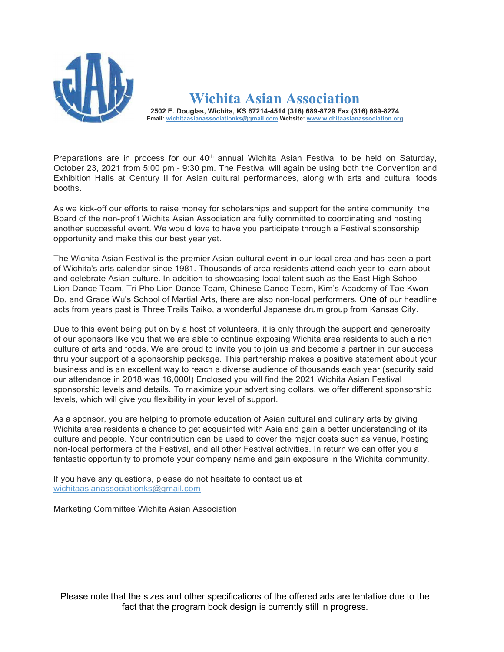

Wichita Asian Association 2502 E. Douglas, Wichita, KS 67214-4514 (316) 689-8729 Fax (316) 689-8274 Email: wichitaasianassociationks@gmail.com Website: www.wichitaasianassociation.org

Preparations are in process for our  $40<sup>th</sup>$  annual Wichita Asian Festival to be held on Saturday, October 23, 2021 from 5:00 pm - 9:30 pm. The Festival will again be using both the Convention and Exhibition Halls at Century II for Asian cultural performances, along with arts and cultural foods booths.

As we kick-off our efforts to raise money for scholarships and support for the entire community, the Board of the non-profit Wichita Asian Association are fully committed to coordinating and hosting another successful event. We would love to have you participate through a Festival sponsorship opportunity and make this our best year yet.

The Wichita Asian Festival is the premier Asian cultural event in our local area and has been a part of Wichita's arts calendar since 1981. Thousands of area residents attend each year to learn about and celebrate Asian culture. In addition to showcasing local talent such as the East High School Lion Dance Team, Tri Pho Lion Dance Team, Chinese Dance Team, Kim's Academy of Tae Kwon Do, and Grace Wu's School of Martial Arts, there are also non-local performers. One of our headline acts from years past is Three Trails Taiko, a wonderful Japanese drum group from Kansas City.

Due to this event being put on by a host of volunteers, it is only through the support and generosity of our sponsors like you that we are able to continue exposing Wichita area residents to such a rich culture of arts and foods. We are proud to invite you to join us and become a partner in our success thru your support of a sponsorship package. This partnership makes a positive statement about your business and is an excellent way to reach a diverse audience of thousands each year (security said our attendance in 2018 was 16,000!) Enclosed you will find the 2021 Wichita Asian Festival sponsorship levels and details. To maximize your advertising dollars, we offer different sponsorship levels, which will give you flexibility in your level of support.

As a sponsor, you are helping to promote education of Asian cultural and culinary arts by giving Wichita area residents a chance to get acquainted with Asia and gain a better understanding of its culture and people. Your contribution can be used to cover the major costs such as venue, hosting non-local performers of the Festival, and all other Festival activities. In return we can offer you a fantastic opportunity to promote your company name and gain exposure in the Wichita community.

If you have any questions, please do not hesitate to contact us at wichitaasianassociationks@gmail.com

Marketing Committee Wichita Asian Association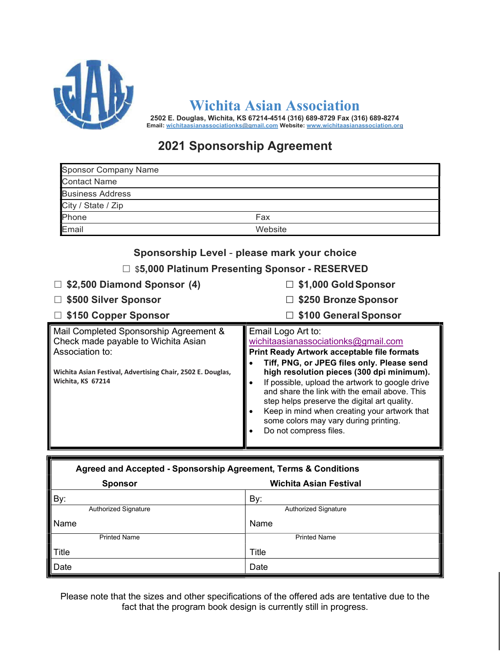

Wichita Asian Association

2502 E. Douglas, Wichita, KS 67214-4514 (316) 689-8729 Fax (316) 689-8274 Email: wichitaasianassociationks@gmail.com Website: www.wichitaasianassociation.org

## 2021 Sponsorship Agreement

| <b>Sponsor Company Name</b> |         |
|-----------------------------|---------|
| <b>Contact Name</b>         |         |
| <b>Business Address</b>     |         |
| City / State / Zip          |         |
| Phone                       | Fax     |
| Email                       | Website |

| Sponsorship Level - please mark your choice<br>□ \$5,000 Platinum Presenting Sponsor - RESERVED                                                                                      |                                                                                                                                                                                                                                                                                                                                                                                                                                                                                                |  |
|--------------------------------------------------------------------------------------------------------------------------------------------------------------------------------------|------------------------------------------------------------------------------------------------------------------------------------------------------------------------------------------------------------------------------------------------------------------------------------------------------------------------------------------------------------------------------------------------------------------------------------------------------------------------------------------------|--|
| \$2,500 Diamond Sponsor (4)<br>\$500 Silver Sponsor<br>□ \$150 Copper Sponsor                                                                                                        | $\Box$ \$1,000 Gold Sponsor<br>□ \$250 Bronze Sponsor<br>\$100 General Sponsor                                                                                                                                                                                                                                                                                                                                                                                                                 |  |
| Mail Completed Sponsorship Agreement &<br>Check made payable to Wichita Asian<br>Association to:<br>Wichita Asian Festival, Advertising Chair, 2502 E. Douglas,<br>Wichita, KS 67214 | Email Logo Art to:<br>wichitaasianassociationks@gmail.com<br><b>Print Ready Artwork acceptable file formats</b><br>Tiff, PNG, or JPEG files only. Please send<br>high resolution pieces (300 dpi minimum).<br>If possible, upload the artwork to google drive<br>$\bullet$<br>and share the link with the email above. This<br>step helps preserve the digital art quality.<br>Keep in mind when creating your artwork that<br>some colors may vary during printing.<br>Do not compress files. |  |

| Agreed and Accepted - Sponsorship Agreement, Terms & Conditions |                               |  |
|-----------------------------------------------------------------|-------------------------------|--|
| <b>Sponsor</b>                                                  | <b>Wichita Asian Festival</b> |  |
| By:                                                             | By:                           |  |
| <b>Authorized Signature</b>                                     | <b>Authorized Signature</b>   |  |
| Name                                                            | Name                          |  |
| <b>Printed Name</b>                                             | <b>Printed Name</b>           |  |
| $\ $ Title                                                      | <b>Title</b>                  |  |
| ∥Date                                                           | Date                          |  |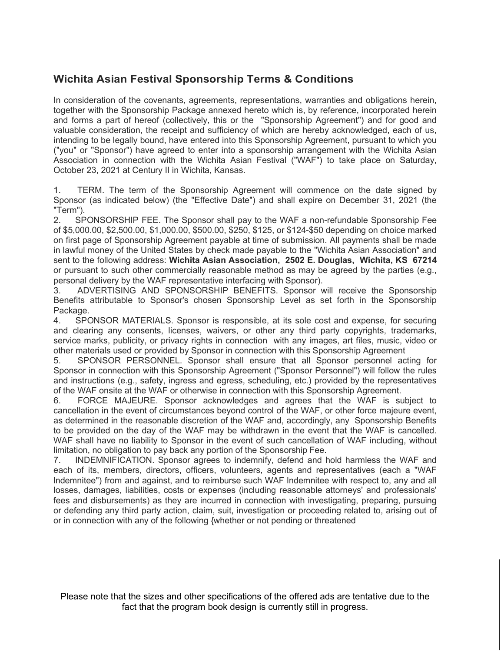### Wichita Asian Festival Sponsorship Terms & Conditions

In consideration of the covenants, agreements, representations, warranties and obligations herein, together with the Sponsorship Package annexed hereto which is, by reference, incorporated herein and forms a part of hereof (collectively, this or the "Sponsorship Agreement") and for good and valuable consideration, the receipt and sufficiency of which are hereby acknowledged, each of us, intending to be legally bound, have entered into this Sponsorship Agreement, pursuant to which you ("you" or "Sponsor") have agreed to enter into a sponsorship arrangement with the Wichita Asian Association in connection with the Wichita Asian Festival ("WAF") to take place on Saturday, October 23, 2021 at Century II in Wichita, Kansas.

1. TERM. The term of the Sponsorship Agreement will commence on the date signed by Sponsor (as indicated below) (the "Effective Date") and shall expire on December 31, 2021 (the "Term").

2. SPONSORSHIP FEE. The Sponsor shall pay to the WAF a non-refundable Sponsorship Fee of \$5,000.00, \$2,500.00, \$1,000.00, \$500.00, \$250, \$125, or \$124-\$50 depending on choice marked on first page of Sponsorship Agreement payable at time of submission. All payments shall be made in lawful money of the United States by check made payable to the "Wichita Asian Association" and sent to the following address: Wichita Asian Association, 2502 E. Douglas, Wichita, KS 67214 or pursuant to such other commercially reasonable method as may be agreed by the parties (e.g., personal delivery by the WAF representative interfacing with Sponsor).

3. ADVERTISING AND SPONSORSHIP BENEFITS. Sponsor will receive the Sponsorship Benefits attributable to Sponsor's chosen Sponsorship Level as set forth in the Sponsorship Package.

4. SPONSOR MATERIALS. Sponsor is responsible, at its sole cost and expense, for securing and clearing any consents, licenses, waivers, or other any third party copyrights, trademarks, service marks, publicity, or privacy rights in connection with any images, art files, music, video or other materials used or provided by Sponsor in connection with this Sponsorship Agreement

5. SPONSOR PERSONNEL. Sponsor shall ensure that all Sponsor personnel acting for Sponsor in connection with this Sponsorship Agreement ("Sponsor Personnel") will follow the rules and instructions (e.g., safety, ingress and egress, scheduling, etc.) provided by the representatives of the WAF onsite at the WAF or otherwise in connection with this Sponsorship Agreement.

6. FORCE MAJEURE. Sponsor acknowledges and agrees that the WAF is subject to cancellation in the event of circumstances beyond control of the WAF, or other force majeure event, as determined in the reasonable discretion of the WAF and, accordingly, any Sponsorship Benefits to be provided on the day of the WAF may be withdrawn in the event that the WAF is cancelled. WAF shall have no liability to Sponsor in the event of such cancellation of WAF including, without limitation, no obligation to pay back any portion of the Sponsorship Fee.

7. INDEMNIFICATION. Sponsor agrees to indemnify, defend and hold harmless the WAF and each of its, members, directors, officers, volunteers, agents and representatives (each a "WAF lndemnitee") from and against, and to reimburse such WAF lndemnitee with respect to, any and all losses, damages, liabilities, costs or expenses (including reasonable attorneys' and professionals' fees and disbursements) as they are incurred in connection with investigating, preparing, pursuing or defending any third party action, claim, suit, investigation or proceeding related to, arising out of or in connection with any of the following {whether or not pending or threatened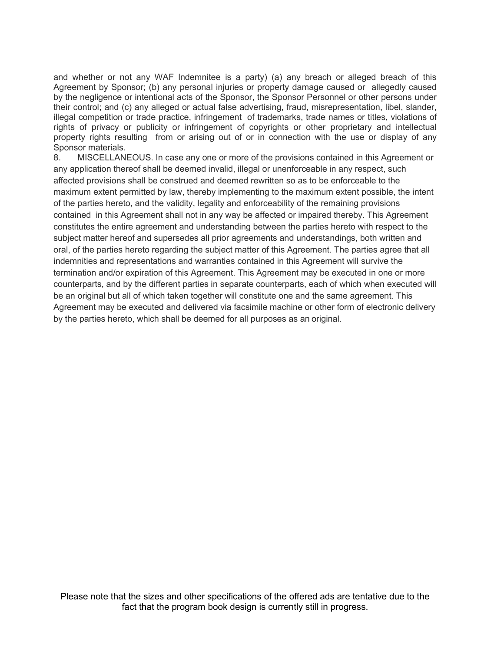and whether or not any WAF lndemnitee is a party) (a) any breach or alleged breach of this Agreement by Sponsor; (b) any personal injuries or property damage caused or allegedly caused by the negligence or intentional acts of the Sponsor, the Sponsor Personnel or other persons under their control; and (c) any alleged or actual false advertising, fraud, misrepresentation, libel, slander, illegal competition or trade practice, infringement of trademarks, trade names or titles, violations of rights of privacy or publicity or infringement of copyrights or other proprietary and intellectual property rights resulting from or arising out of or in connection with the use or display of any Sponsor materials.

8. MISCELLANEOUS. In case any one or more of the provisions contained in this Agreement or any application thereof shall be deemed invalid, illegal or unenforceable in any respect, such affected provisions shall be construed and deemed rewritten so as to be enforceable to the maximum extent permitted by law, thereby implementing to the maximum extent possible, the intent of the parties hereto, and the validity, legality and enforceability of the remaining provisions contained in this Agreement shall not in any way be affected or impaired thereby. This Agreement constitutes the entire agreement and understanding between the parties hereto with respect to the subject matter hereof and supersedes all prior agreements and understandings, both written and oral, of the parties hereto regarding the subject matter of this Agreement. The parties agree that all indemnities and representations and warranties contained in this Agreement will survive the termination and/or expiration of this Agreement. This Agreement may be executed in one or more counterparts, and by the different parties in separate counterparts, each of which when executed will be an original but all of which taken together will constitute one and the same agreement. This Agreement may be executed and delivered via facsimile machine or other form of electronic delivery by the parties hereto, which shall be deemed for all purposes as an original.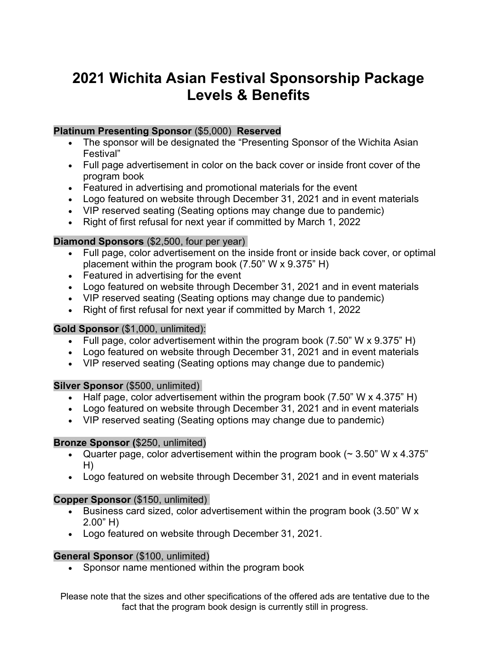# 2021 Wichita Asian Festival Sponsorship Package Levels & Benefits

#### Platinum Presenting Sponsor (\$5,000) Reserved

- The sponsor will be designated the "Presenting Sponsor of the Wichita Asian Festival"
- Full page advertisement in color on the back cover or inside front cover of the program book
- Featured in advertising and promotional materials for the event
- Logo featured on website through December 31, 2021 and in event materials
- VIP reserved seating (Seating options may change due to pandemic)
- Right of first refusal for next year if committed by March 1, 2022

#### Diamond Sponsors (\$2,500, four per year)

- Full page, color advertisement on the inside front or inside back cover, or optimal placement within the program book (7.50" W x 9.375" H)
- Featured in advertising for the event
- Logo featured on website through December 31, 2021 and in event materials
- VIP reserved seating (Seating options may change due to pandemic)
- Right of first refusal for next year if committed by March 1, 2022

#### Gold Sponsor (\$1,000, unlimited):

- Full page, color advertisement within the program book  $(7.50" W \times 9.375" H)$
- Logo featured on website through December 31, 2021 and in event materials
- VIP reserved seating (Seating options may change due to pandemic)

#### Silver Sponsor (\$500, unlimited)

- Half page, color advertisement within the program book  $(7.50$ " W x 4.375" H)
- Logo featured on website through December 31, 2021 and in event materials
- VIP reserved seating (Seating options may change due to pandemic)

#### Bronze Sponsor (\$250, unlimited)

- Quarter page, color advertisement within the program book  $($   $\sim$  3.50" W x 4.375" H)
- Logo featured on website through December 31, 2021 and in event materials

#### Copper Sponsor (\$150, unlimited)

- Business card sized, color advertisement within the program book (3.50" W x 2.00" H)
- Logo featured on website through December 31, 2021.

#### General Sponsor (\$100, unlimited)

• Sponsor name mentioned within the program book